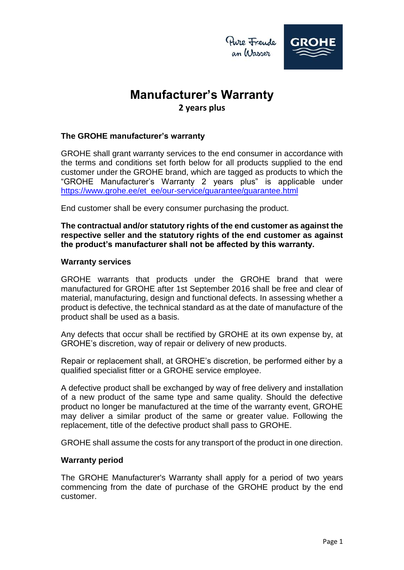

### **Manufacturer's Warranty 2 years plus**

### **The GROHE manufacturer's warranty**

GROHE shall grant warranty services to the end consumer in accordance with the terms and conditions set forth below for all products supplied to the end customer under the GROHE brand, which are tagged as products to which the "GROHE Manufacturer's Warranty 2 years plus" is applicable under [https://www.grohe.ee/et\\_ee/our-service/guarantee/guarantee.html](https://www.grohe.ee/et_ee/our-service/guarantee/guarantee.html)

End customer shall be every consumer purchasing the product.

**The contractual and/or statutory rights of the end customer as against the respective seller and the statutory rights of the end customer as against the product's manufacturer shall not be affected by this warranty.**

#### **Warranty services**

GROHE warrants that products under the GROHE brand that were manufactured for GROHE after 1st September 2016 shall be free and clear of material, manufacturing, design and functional defects. In assessing whether a product is defective, the technical standard as at the date of manufacture of the product shall be used as a basis.

Any defects that occur shall be rectified by GROHE at its own expense by, at GROHE's discretion, way of repair or delivery of new products.

Repair or replacement shall, at GROHE's discretion, be performed either by a qualified specialist fitter or a GROHE service employee.

A defective product shall be exchanged by way of free delivery and installation of a new product of the same type and same quality. Should the defective product no longer be manufactured at the time of the warranty event, GROHE may deliver a similar product of the same or greater value. Following the replacement, title of the defective product shall pass to GROHE.

GROHE shall assume the costs for any transport of the product in one direction.

#### **Warranty period**

The GROHE Manufacturer's Warranty shall apply for a period of two years commencing from the date of purchase of the GROHE product by the end customer.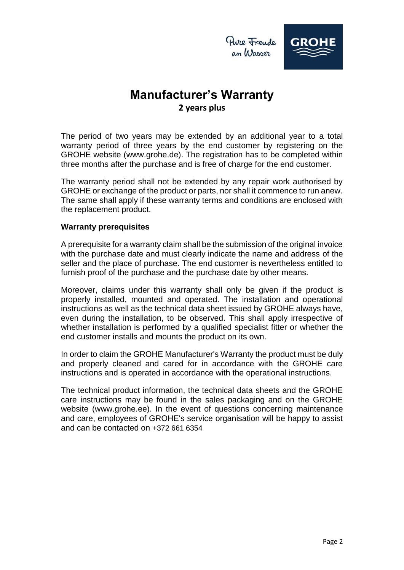

# **Manufacturer's Warranty 2 years plus**

The period of two years may be extended by an additional year to a total warranty period of three years by the end customer by registering on the GROHE website (www.grohe.de). The registration has to be completed within three months after the purchase and is free of charge for the end customer.

The warranty period shall not be extended by any repair work authorised by GROHE or exchange of the product or parts, nor shall it commence to run anew. The same shall apply if these warranty terms and conditions are enclosed with the replacement product.

#### **Warranty prerequisites**

A prerequisite for a warranty claim shall be the submission of the original invoice with the purchase date and must clearly indicate the name and address of the seller and the place of purchase. The end customer is nevertheless entitled to furnish proof of the purchase and the purchase date by other means.

Moreover, claims under this warranty shall only be given if the product is properly installed, mounted and operated. The installation and operational instructions as well as the technical data sheet issued by GROHE always have, even during the installation, to be observed. This shall apply irrespective of whether installation is performed by a qualified specialist fitter or whether the end customer installs and mounts the product on its own.

In order to claim the GROHE Manufacturer's Warranty the product must be duly and properly cleaned and cared for in accordance with the GROHE care instructions and is operated in accordance with the operational instructions.

The technical product information, the technical data sheets and the GROHE care instructions may be found in the sales packaging and on the GROHE website (www.grohe.ee). In the event of questions concerning maintenance and care, employees of GROHE's service organisation will be happy to assist and can be contacted on +372 661 6354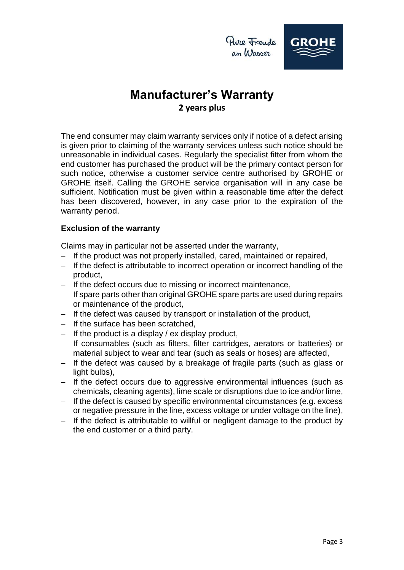

an Wasser

# **Manufacturer's Warranty 2 years plus**

The end consumer may claim warranty services only if notice of a defect arising is given prior to claiming of the warranty services unless such notice should be unreasonable in individual cases. Regularly the specialist fitter from whom the end customer has purchased the product will be the primary contact person for such notice, otherwise a customer service centre authorised by GROHE or GROHE itself. Calling the GROHE service organisation will in any case be sufficient. Notification must be given within a reasonable time after the defect has been discovered, however, in any case prior to the expiration of the warranty period.

### **Exclusion of the warranty**

Claims may in particular not be asserted under the warranty,

- $-I$  If the product was not properly installed, cared, maintained or repaired,
- If the defect is attributable to incorrect operation or incorrect handling of the product,
- If the defect occurs due to missing or incorrect maintenance,
- $-I$  If spare parts other than original GROHE spare parts are used during repairs or maintenance of the product,
- $-$  If the defect was caused by transport or installation of the product,
- $-$  If the surface has been scratched,
- $-$  If the product is a display / ex display product,
- If consumables (such as filters, filter cartridges, aerators or batteries) or material subject to wear and tear (such as seals or hoses) are affected,
- $-$  If the defect was caused by a breakage of fragile parts (such as glass or light bulbs),
- $-$  If the defect occurs due to aggressive environmental influences (such as chemicals, cleaning agents), lime scale or disruptions due to ice and/or lime,
- $-I$  If the defect is caused by specific environmental circumstances (e.g. excess or negative pressure in the line, excess voltage or under voltage on the line),
- $-I$  If the defect is attributable to willful or negligent damage to the product by the end customer or a third party.